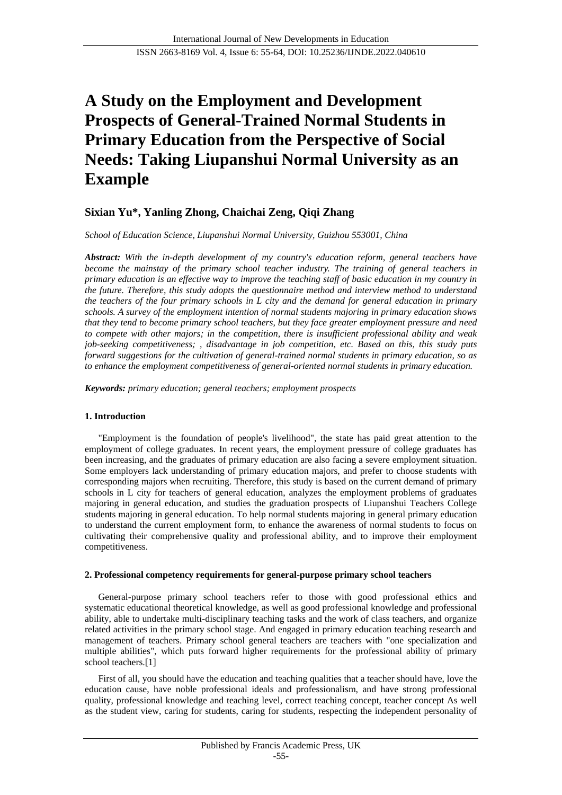# **A Study on the Employment and Development Prospects of General-Trained Normal Students in Primary Education from the Perspective of Social Needs: Taking Liupanshui Normal University as an Example**

## **Sixian Yu\*, Yanling Zhong, Chaichai Zeng, Qiqi Zhang**

*School of Education Science, Liupanshui Normal University, Guizhou 553001, China*

*Abstract: With the in-depth development of my country's education reform, general teachers have become the mainstay of the primary school teacher industry. The training of general teachers in primary education is an effective way to improve the teaching staff of basic education in my country in the future. Therefore, this study adopts the questionnaire method and interview method to understand the teachers of the four primary schools in L city and the demand for general education in primary schools. A survey of the employment intention of normal students majoring in primary education shows that they tend to become primary school teachers, but they face greater employment pressure and need to compete with other majors; in the competition, there is insufficient professional ability and weak job-seeking competitiveness; , disadvantage in job competition, etc. Based on this, this study puts forward suggestions for the cultivation of general-trained normal students in primary education, so as to enhance the employment competitiveness of general-oriented normal students in primary education.*

*Keywords: primary education; general teachers; employment prospects*

## **1. Introduction**

"Employment is the foundation of people's livelihood", the state has paid great attention to the employment of college graduates. In recent years, the employment pressure of college graduates has been increasing, and the graduates of primary education are also facing a severe employment situation. Some employers lack understanding of primary education majors, and prefer to choose students with corresponding majors when recruiting. Therefore, this study is based on the current demand of primary schools in L city for teachers of general education, analyzes the employment problems of graduates majoring in general education, and studies the graduation prospects of Liupanshui Teachers College students majoring in general education. To help normal students majoring in general primary education to understand the current employment form, to enhance the awareness of normal students to focus on cultivating their comprehensive quality and professional ability, and to improve their employment competitiveness.

## **2. Professional competency requirements for general-purpose primary school teachers**

General-purpose primary school teachers refer to those with good professional ethics and systematic educational theoretical knowledge, as well as good professional knowledge and professional ability, able to undertake multi-disciplinary teaching tasks and the work of class teachers, and organize related activities in the primary school stage. And engaged in primary education teaching research and management of teachers. Primary school general teachers are teachers with "one specialization and multiple abilities", which puts forward higher requirements for the professional ability of primary school teachers.<sup>[1]</sup>

First of all, you should have the education and teaching qualities that a teacher should have, love the education cause, have noble professional ideals and professionalism, and have strong professional quality, professional knowledge and teaching level, correct teaching concept, teacher concept As well as the student view, caring for students, caring for students, respecting the independent personality of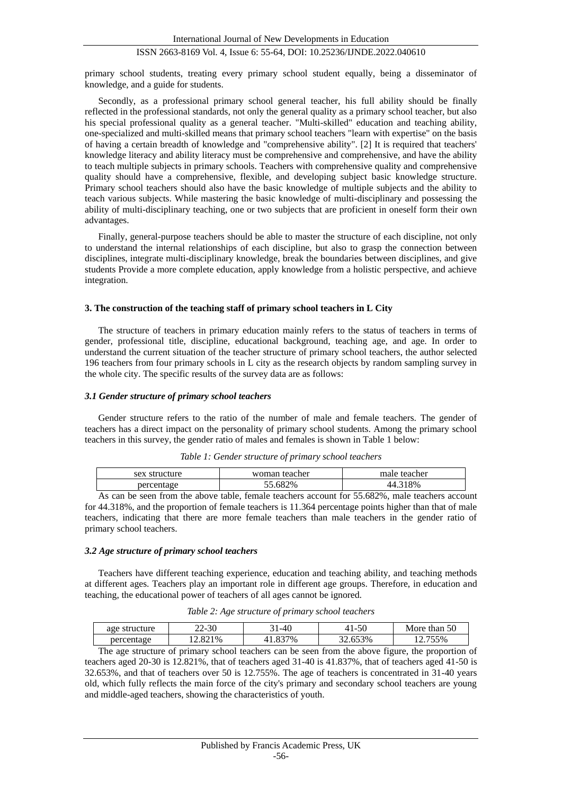primary school students, treating every primary school student equally, being a disseminator of knowledge, and a guide for students.

Secondly, as a professional primary school general teacher, his full ability should be finally reflected in the professional standards, not only the general quality as a primary school teacher, but also his special professional quality as a general teacher. "Multi-skilled" education and teaching ability, one-specialized and multi-skilled means that primary school teachers "learn with expertise" on the basis of having a certain breadth of knowledge and "comprehensive ability". [2] It is required that teachers' knowledge literacy and ability literacy must be comprehensive and comprehensive, and have the ability to teach multiple subjects in primary schools. Teachers with comprehensive quality and comprehensive quality should have a comprehensive, flexible, and developing subject basic knowledge structure. Primary school teachers should also have the basic knowledge of multiple subjects and the ability to teach various subjects. While mastering the basic knowledge of multi-disciplinary and possessing the ability of multi-disciplinary teaching, one or two subjects that are proficient in oneself form their own advantages.

Finally, general-purpose teachers should be able to master the structure of each discipline, not only to understand the internal relationships of each discipline, but also to grasp the connection between disciplines, integrate multi-disciplinary knowledge, break the boundaries between disciplines, and give students Provide a more complete education, apply knowledge from a holistic perspective, and achieve integration.

#### **3. The construction of the teaching staff of primary school teachers in L City**

The structure of teachers in primary education mainly refers to the status of teachers in terms of gender, professional title, discipline, educational background, teaching age, and age. In order to understand the current situation of the teacher structure of primary school teachers, the author selected 196 teachers from four primary schools in L city as the research objects by random sampling survey in the whole city. The specific results of the survey data are as follows:

#### *3.1 Gender structure of primary school teachers*

Gender structure refers to the ratio of the number of male and female teachers. The gender of teachers has a direct impact on the personality of primary school students. Among the primary school teachers in this survey, the gender ratio of males and females is shown in Table 1 below:

| sex structure                                                                                                                                                                                                                                                                                                                                                                                                                                                                                                                                             | woman teacher | male teacher |  |
|-----------------------------------------------------------------------------------------------------------------------------------------------------------------------------------------------------------------------------------------------------------------------------------------------------------------------------------------------------------------------------------------------------------------------------------------------------------------------------------------------------------------------------------------------------------|---------------|--------------|--|
| percentage                                                                                                                                                                                                                                                                                                                                                                                                                                                                                                                                                | 82%<br>.6X    | 8%           |  |
| $\mathcal{L}$ $\mathcal{L}$ $\mathcal{L}$ $\mathcal{L}$ $\mathcal{L}$ $\mathcal{L}$ $\mathcal{L}$ $\mathcal{L}$ $\mathcal{L}$ $\mathcal{L}$ $\mathcal{L}$ $\mathcal{L}$ $\mathcal{L}$ $\mathcal{L}$ $\mathcal{L}$ $\mathcal{L}$ $\mathcal{L}$ $\mathcal{L}$ $\mathcal{L}$ $\mathcal{L}$ $\mathcal{L}$ $\mathcal{L}$ $\mathcal{L}$ $\mathcal{L}$ $\mathcal{$<br>.<br>$\mathbf{r}$ and $\mathbf{r}$<br>$\mathbf{r}$ and $\mathbf{r}$ and $\mathbf{r}$ and $\mathbf{r}$ and $\mathbf{r}$ and $\mathbf{r}$ and $\mathbf{r}$ and $\mathbf{r}$<br>$\sim$ $\sim$ |               |              |  |

*Table 1: Gender structure of primary school teachers*

As can be seen from the above table, female teachers account for 55.682%, male teachers account for 44.318%, and the proportion of female teachers is 11.364 percentage points higher than that of male teachers, indicating that there are more female teachers than male teachers in the gender ratio of primary school teachers.

#### *3.2 Age structure of primary school teachers*

Teachers have different teaching experience, education and teaching ability, and teaching methods at different ages. Teachers play an important role in different age groups. Therefore, in education and teaching, the educational power of teachers of all ages cannot be ignored.

| Table 2: Age structure of primary school teachers |  |  |
|---------------------------------------------------|--|--|
|---------------------------------------------------|--|--|

| age structure | $22 - 30$ | 31-40   | 41-50   | More than 50                                                                                      |  |
|---------------|-----------|---------|---------|---------------------------------------------------------------------------------------------------|--|
| percentage    | 12.821%   | 41.837% | 32.653% | 12.755%                                                                                           |  |
|               |           |         |         | The age structure of primary school teachers can be seen from the above figure, the proportion of |  |

teachers aged 20-30 is 12.821%, that of teachers aged 31-40 is 41.837%, that of teachers aged 41-50 is 32.653%, and that of teachers over 50 is 12.755%. The age of teachers is concentrated in 31-40 years old, which fully reflects the main force of the city's primary and secondary school teachers are young and middle-aged teachers, showing the characteristics of youth.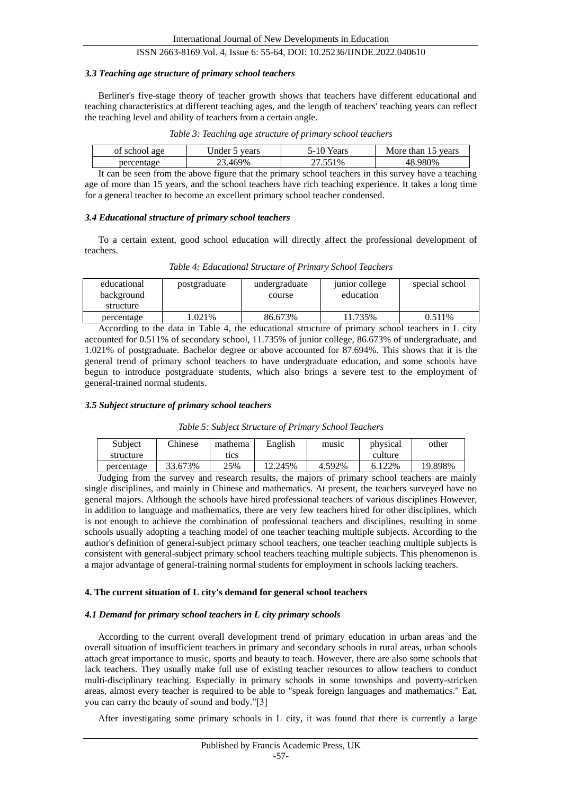#### *3.3 Teaching age structure of primary school teachers*

Berliner's five-stage theory of teacher growth shows that teachers have different educational and teaching characteristics at different teaching ages, and the length of teachers' teaching years can reflect the teaching level and ability of teachers from a certain angle.

| of school age | vears<br>Jnder | Years<br>1- I U | years<br>than 15<br>More |
|---------------|----------------|-----------------|--------------------------|
| nercentage    | .469%          | $1\%$           | .980%<br>48              |
|               | $\sim$         |                 |                          |

It can be seen from the above figure that the primary school teachers in this survey have a teaching age of more than 15 years, and the school teachers have rich teaching experience. It takes a long time for a general teacher to become an excellent primary school teacher condensed.

#### *3.4 Educational structure of primary school teachers*

To a certain extent, good school education will directly affect the professional development of teachers.

| Table 4: Educational Structure of Primary School Teachers |  |
|-----------------------------------------------------------|--|
|-----------------------------------------------------------|--|

| educational<br>background<br>structure | postgraduate | undergraduate<br>course | junior college<br>education | special school |
|----------------------------------------|--------------|-------------------------|-----------------------------|----------------|
| percentage                             | .021%        | 86.673%                 | 11.735%                     | 0.511%         |

According to the data in Table 4, the educational structure of primary school teachers in L city accounted for 0.511% of secondary school, 11.735% of junior college, 86.673% of undergraduate, and 1.021% of postgraduate. Bachelor degree or above accounted for 87.694%. This shows that it is the general trend of primary school teachers to have undergraduate education, and some schools have begun to introduce postgraduate students, which also brings a severe test to the employment of general-trained normal students.

#### *3.5 Subject structure of primary school teachers*

| Table 5: Subject Structure of Primary School Teachers |  |  |
|-------------------------------------------------------|--|--|
|                                                       |  |  |

| Subject    | <b>Chinese</b> | mathema | English | music  | physical | other   |
|------------|----------------|---------|---------|--------|----------|---------|
| structure  |                | tics    |         |        | culture  |         |
| percentage | 33.673%        | 25%     | 12.245% | 4.592% | 6.122\%  | '9.898% |

Judging from the survey and research results, the majors of primary school teachers are mainly single disciplines, and mainly in Chinese and mathematics. At present, the teachers surveyed have no general majors. Although the schools have hired professional teachers of various disciplines However, in addition to language and mathematics, there are very few teachers hired for other disciplines, which is not enough to achieve the combination of professional teachers and disciplines, resulting in some schools usually adopting a teaching model of one teacher teaching multiple subjects. According to the author's definition of general-subject primary school teachers, one teacher teaching multiple subjects is consistent with general-subject primary school teachers teaching multiple subjects. This phenomenon is a major advantage of general-training normal students for employment in schools lacking teachers.

#### **4. The current situation of L city's demand for general school teachers**

#### *4.1 Demand for primary school teachers in L city primary schools*

According to the current overall development trend of primary education in urban areas and the overall situation of insufficient teachers in primary and secondary schools in rural areas, urban schools attach great importance to music, sports and beauty to teach. However, there are also some schools that lack teachers. They usually make full use of existing teacher resources to allow teachers to conduct multi-disciplinary teaching. Especially in primary schools in some townships and poverty-stricken areas, almost every teacher is required to be able to "speak foreign languages and mathematics." Eat, you can carry the beauty of sound and body."[3]

After investigating some primary schools in L city, it was found that there is currently a large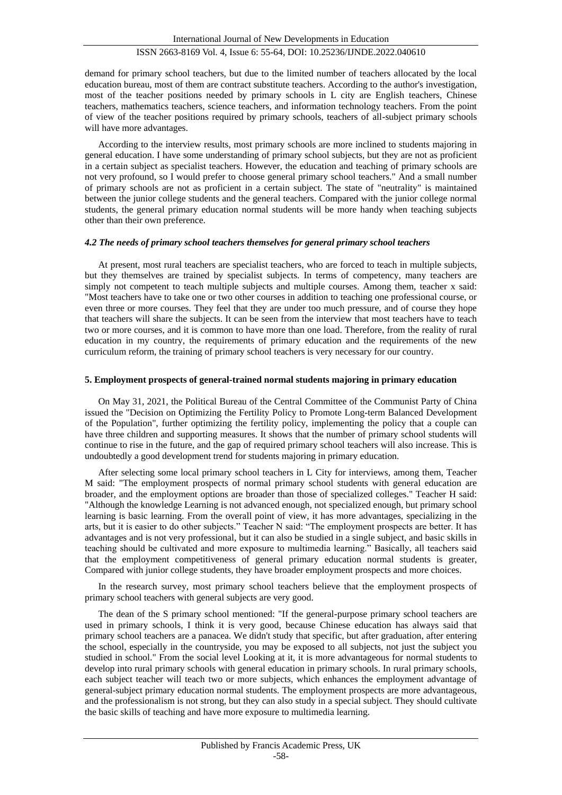demand for primary school teachers, but due to the limited number of teachers allocated by the local education bureau, most of them are contract substitute teachers. According to the author's investigation, most of the teacher positions needed by primary schools in L city are English teachers, Chinese teachers, mathematics teachers, science teachers, and information technology teachers. From the point of view of the teacher positions required by primary schools, teachers of all-subject primary schools will have more advantages.

According to the interview results, most primary schools are more inclined to students majoring in general education. I have some understanding of primary school subjects, but they are not as proficient in a certain subject as specialist teachers. However, the education and teaching of primary schools are not very profound, so I would prefer to choose general primary school teachers." And a small number of primary schools are not as proficient in a certain subject. The state of "neutrality" is maintained between the junior college students and the general teachers. Compared with the junior college normal students, the general primary education normal students will be more handy when teaching subjects other than their own preference.

#### *4.2 The needs of primary school teachers themselves for general primary school teachers*

At present, most rural teachers are specialist teachers, who are forced to teach in multiple subjects, but they themselves are trained by specialist subjects. In terms of competency, many teachers are simply not competent to teach multiple subjects and multiple courses. Among them, teacher x said: "Most teachers have to take one or two other courses in addition to teaching one professional course, or even three or more courses. They feel that they are under too much pressure, and of course they hope that teachers will share the subjects. It can be seen from the interview that most teachers have to teach two or more courses, and it is common to have more than one load. Therefore, from the reality of rural education in my country, the requirements of primary education and the requirements of the new curriculum reform, the training of primary school teachers is very necessary for our country.

#### **5. Employment prospects of general-trained normal students majoring in primary education**

On May 31, 2021, the Political Bureau of the Central Committee of the Communist Party of China issued the "Decision on Optimizing the Fertility Policy to Promote Long-term Balanced Development of the Population", further optimizing the fertility policy, implementing the policy that a couple can have three children and supporting measures. It shows that the number of primary school students will continue to rise in the future, and the gap of required primary school teachers will also increase. This is undoubtedly a good development trend for students majoring in primary education.

After selecting some local primary school teachers in L City for interviews, among them, Teacher M said: "The employment prospects of normal primary school students with general education are broader, and the employment options are broader than those of specialized colleges." Teacher H said: "Although the knowledge Learning is not advanced enough, not specialized enough, but primary school learning is basic learning. From the overall point of view, it has more advantages, specializing in the arts, but it is easier to do other subjects." Teacher N said: "The employment prospects are better. It has advantages and is not very professional, but it can also be studied in a single subject, and basic skills in teaching should be cultivated and more exposure to multimedia learning." Basically, all teachers said that the employment competitiveness of general primary education normal students is greater, Compared with junior college students, they have broader employment prospects and more choices.

In the research survey, most primary school teachers believe that the employment prospects of primary school teachers with general subjects are very good.

The dean of the S primary school mentioned: "If the general-purpose primary school teachers are used in primary schools, I think it is very good, because Chinese education has always said that primary school teachers are a panacea. We didn't study that specific, but after graduation, after entering the school, especially in the countryside, you may be exposed to all subjects, not just the subject you studied in school." From the social level Looking at it, it is more advantageous for normal students to develop into rural primary schools with general education in primary schools. In rural primary schools, each subject teacher will teach two or more subjects, which enhances the employment advantage of general-subject primary education normal students. The employment prospects are more advantageous, and the professionalism is not strong, but they can also study in a special subject. They should cultivate the basic skills of teaching and have more exposure to multimedia learning.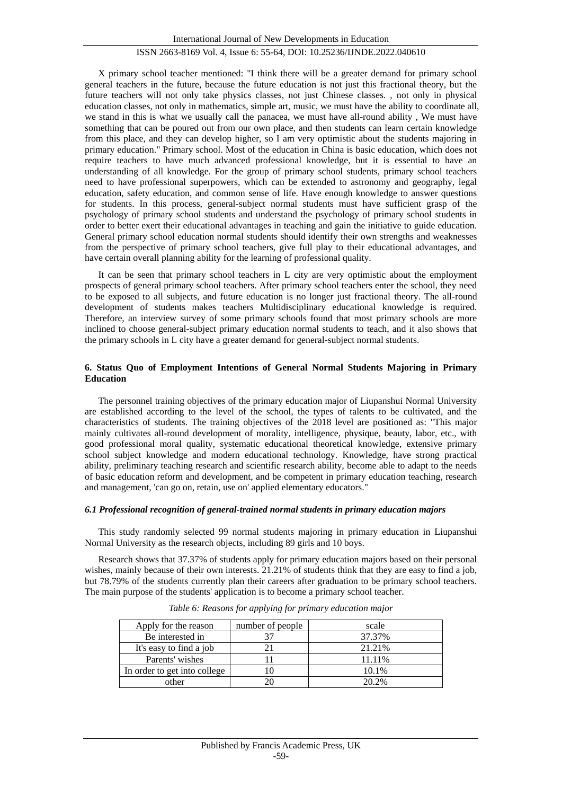X primary school teacher mentioned: "I think there will be a greater demand for primary school general teachers in the future, because the future education is not just this fractional theory, but the future teachers will not only take physics classes, not just Chinese classes. , not only in physical education classes, not only in mathematics, simple art, music, we must have the ability to coordinate all, we stand in this is what we usually call the panacea, we must have all-round ability , We must have something that can be poured out from our own place, and then students can learn certain knowledge from this place, and they can develop higher, so I am very optimistic about the students majoring in primary education." Primary school. Most of the education in China is basic education, which does not require teachers to have much advanced professional knowledge, but it is essential to have an understanding of all knowledge. For the group of primary school students, primary school teachers need to have professional superpowers, which can be extended to astronomy and geography, legal education, safety education, and common sense of life. Have enough knowledge to answer questions for students. In this process, general-subject normal students must have sufficient grasp of the psychology of primary school students and understand the psychology of primary school students in order to better exert their educational advantages in teaching and gain the initiative to guide education. General primary school education normal students should identify their own strengths and weaknesses from the perspective of primary school teachers, give full play to their educational advantages, and have certain overall planning ability for the learning of professional quality.

It can be seen that primary school teachers in L city are very optimistic about the employment prospects of general primary school teachers. After primary school teachers enter the school, they need to be exposed to all subjects, and future education is no longer just fractional theory. The all-round development of students makes teachers Multidisciplinary educational knowledge is required. Therefore, an interview survey of some primary schools found that most primary schools are more inclined to choose general-subject primary education normal students to teach, and it also shows that the primary schools in L city have a greater demand for general-subject normal students.

#### **6. Status Quo of Employment Intentions of General Normal Students Majoring in Primary Education**

The personnel training objectives of the primary education major of Liupanshui Normal University are established according to the level of the school, the types of talents to be cultivated, and the characteristics of students. The training objectives of the 2018 level are positioned as: "This major mainly cultivates all-round development of morality, intelligence, physique, beauty, labor, etc., with good professional moral quality, systematic educational theoretical knowledge, extensive primary school subject knowledge and modern educational technology. Knowledge, have strong practical ability, preliminary teaching research and scientific research ability, become able to adapt to the needs of basic education reform and development, and be competent in primary education teaching, research and management, 'can go on, retain, use on' applied elementary educators."

#### *6.1 Professional recognition of general-trained normal students in primary education majors*

This study randomly selected 99 normal students majoring in primary education in Liupanshui Normal University as the research objects, including 89 girls and 10 boys.

Research shows that 37.37% of students apply for primary education majors based on their personal wishes, mainly because of their own interests. 21.21% of students think that they are easy to find a job, but 78.79% of the students currently plan their careers after graduation to be primary school teachers. The main purpose of the students' application is to become a primary school teacher.

| Apply for the reason         | number of people | scale  |
|------------------------------|------------------|--------|
| Be interested in             |                  | 37.37% |
| It's easy to find a job      |                  | 21.21% |
| Parents' wishes              |                  | 11.11% |
| In order to get into college |                  | 10.1%  |
| other                        |                  | 20.2%  |

*Table 6: Reasons for applying for primary education major*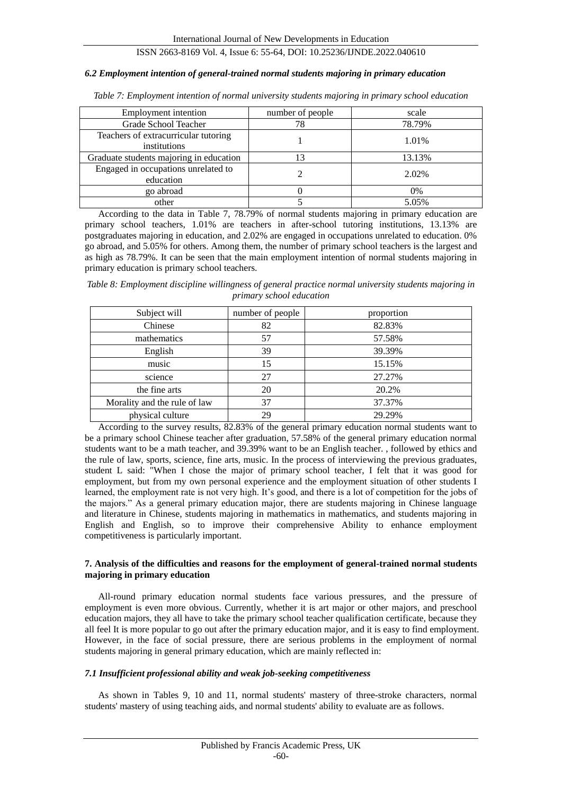#### *6.2 Employment intention of general-trained normal students majoring in primary education*

| Employment intention                                 | number of people | scale  |
|------------------------------------------------------|------------------|--------|
| Grade School Teacher                                 |                  | 78.79% |
| Teachers of extracurricular tutoring<br>institutions |                  | 1.01%  |
| Graduate students majoring in education              |                  | 13.13% |
| Engaged in occupations unrelated to<br>education     |                  | 2.02%  |
| go abroad                                            |                  | $0\%$  |
| other                                                |                  | 5.05%  |

*Table 7: Employment intention of normal university students majoring in primary school education*

According to the data in Table 7, 78.79% of normal students majoring in primary education are primary school teachers, 1.01% are teachers in after-school tutoring institutions, 13.13% are postgraduates majoring in education, and 2.02% are engaged in occupations unrelated to education. 0% go abroad, and 5.05% for others. Among them, the number of primary school teachers is the largest and as high as 78.79%. It can be seen that the main employment intention of normal students majoring in primary education is primary school teachers.

*Table 8: Employment discipline willingness of general practice normal university students majoring in primary school education*

| Subject will                 | number of people | proportion |
|------------------------------|------------------|------------|
| Chinese                      | 82               | 82.83%     |
| mathematics                  | 57               | 57.58%     |
| English                      | 39               | 39.39%     |
| music                        | 15               | 15.15%     |
| science                      | 27               | 27.27%     |
| the fine arts                | 20               | 20.2%      |
| Morality and the rule of law | 37               | 37.37%     |
| physical culture             | 29               | 29.29%     |

According to the survey results, 82.83% of the general primary education normal students want to be a primary school Chinese teacher after graduation, 57.58% of the general primary education normal students want to be a math teacher, and 39.39% want to be an English teacher. , followed by ethics and the rule of law, sports, science, fine arts, music. In the process of interviewing the previous graduates, student L said: "When I chose the major of primary school teacher, I felt that it was good for employment, but from my own personal experience and the employment situation of other students I learned, the employment rate is not very high. It's good, and there is a lot of competition for the jobs of the majors." As a general primary education major, there are students majoring in Chinese language and literature in Chinese, students majoring in mathematics in mathematics, and students majoring in English and English, so to improve their comprehensive Ability to enhance employment competitiveness is particularly important.

#### **7. Analysis of the difficulties and reasons for the employment of general-trained normal students majoring in primary education**

All-round primary education normal students face various pressures, and the pressure of employment is even more obvious. Currently, whether it is art major or other majors, and preschool education majors, they all have to take the primary school teacher qualification certificate, because they all feel It is more popular to go out after the primary education major, and it is easy to find employment. However, in the face of social pressure, there are serious problems in the employment of normal students majoring in general primary education, which are mainly reflected in:

#### *7.1 Insufficient professional ability and weak job-seeking competitiveness*

As shown in Tables 9, 10 and 11, normal students' mastery of three-stroke characters, normal students' mastery of using teaching aids, and normal students' ability to evaluate are as follows.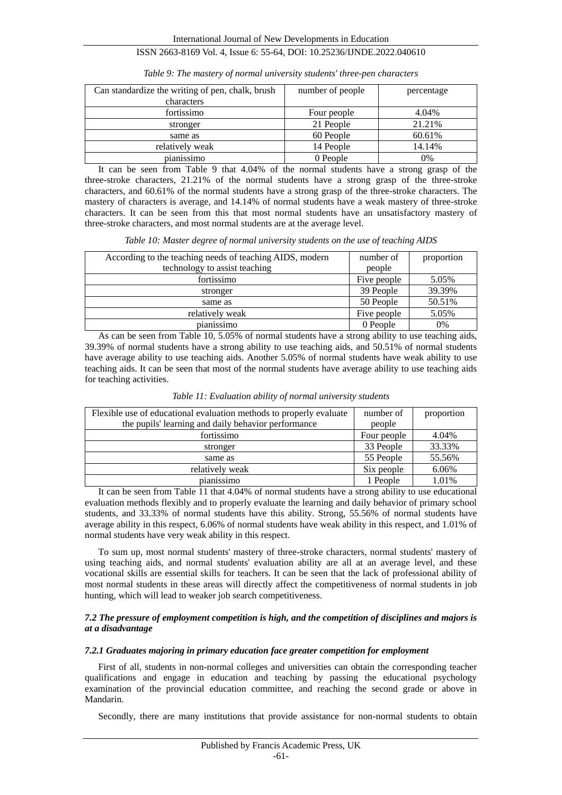| Can standardize the writing of pen, chalk, brush<br>characters | number of people | percentage |
|----------------------------------------------------------------|------------------|------------|
| fortissimo                                                     | Four people      | 4.04%      |
| stronger                                                       | 21 People        | 21.21%     |
| same as                                                        | 60 People        | 60.61%     |
| relatively weak                                                | 14 People        | 14.14%     |
| pianissimo                                                     | 0 People         | 0%         |

*Table 9: The mastery of normal university students' three-pen characters*

It can be seen from Table 9 that 4.04% of the normal students have a strong grasp of the three-stroke characters, 21.21% of the normal students have a strong grasp of the three-stroke characters, and 60.61% of the normal students have a strong grasp of the three-stroke characters. The mastery of characters is average, and 14.14% of normal students have a weak mastery of three-stroke characters. It can be seen from this that most normal students have an unsatisfactory mastery of three-stroke characters, and most normal students are at the average level.

|  |  |  |  | Table 10: Master degree of normal university students on the use of teaching AIDS |  |  |  |  |
|--|--|--|--|-----------------------------------------------------------------------------------|--|--|--|--|
|  |  |  |  |                                                                                   |  |  |  |  |

| According to the teaching needs of teaching AIDS, modern | number of   | proportion |
|----------------------------------------------------------|-------------|------------|
| technology to assist teaching                            | people      |            |
| fortissimo                                               | Five people | 5.05%      |
| stronger                                                 | 39 People   | 39.39%     |
| same as                                                  | 50 People   | 50.51%     |
| relatively weak                                          | Five people | 5.05%      |
| pianissimo                                               | 0 People    | 0%         |

As can be seen from Table 10, 5.05% of normal students have a strong ability to use teaching aids, 39.39% of normal students have a strong ability to use teaching aids, and 50.51% of normal students have average ability to use teaching aids. Another 5.05% of normal students have weak ability to use teaching aids. It can be seen that most of the normal students have average ability to use teaching aids for teaching activities.

| Flexible use of educational evaluation methods to properly evaluate | number of   | proportion |
|---------------------------------------------------------------------|-------------|------------|
| the pupils' learning and daily behavior performance                 | people      |            |
| fortissimo                                                          | Four people | 4.04%      |
| stronger                                                            | 33 People   | 33.33%     |
| same as                                                             | 55 People   | 55.56%     |
| relatively weak                                                     | Six people  | 6.06%      |
| pianissimo                                                          | 1 People    | 1.01%      |

*Table 11: Evaluation ability of normal university students*

It can be seen from Table 11 that 4.04% of normal students have a strong ability to use educational evaluation methods flexibly and to properly evaluate the learning and daily behavior of primary school students, and 33.33% of normal students have this ability. Strong, 55.56% of normal students have average ability in this respect, 6.06% of normal students have weak ability in this respect, and 1.01% of normal students have very weak ability in this respect.

To sum up, most normal students' mastery of three-stroke characters, normal students' mastery of using teaching aids, and normal students' evaluation ability are all at an average level, and these vocational skills are essential skills for teachers. It can be seen that the lack of professional ability of most normal students in these areas will directly affect the competitiveness of normal students in job hunting, which will lead to weaker job search competitiveness.

## *7.2 The pressure of employment competition is high, and the competition of disciplines and majors is at a disadvantage*

#### *7.2.1 Graduates majoring in primary education face greater competition for employment*

First of all, students in non-normal colleges and universities can obtain the corresponding teacher qualifications and engage in education and teaching by passing the educational psychology examination of the provincial education committee, and reaching the second grade or above in Mandarin.

Secondly, there are many institutions that provide assistance for non-normal students to obtain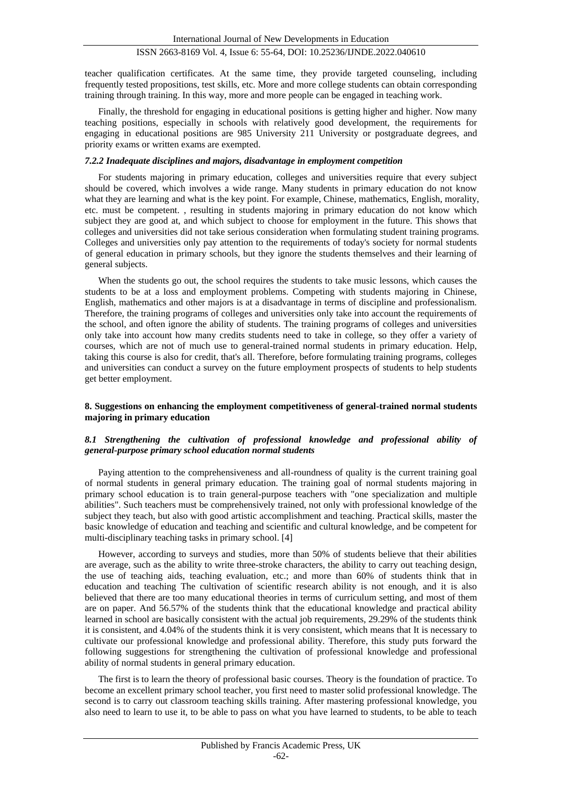teacher qualification certificates. At the same time, they provide targeted counseling, including frequently tested propositions, test skills, etc. More and more college students can obtain corresponding training through training. In this way, more and more people can be engaged in teaching work.

Finally, the threshold for engaging in educational positions is getting higher and higher. Now many teaching positions, especially in schools with relatively good development, the requirements for engaging in educational positions are 985 University 211 University or postgraduate degrees, and priority exams or written exams are exempted.

## *7.2.2 Inadequate disciplines and majors, disadvantage in employment competition*

For students majoring in primary education, colleges and universities require that every subject should be covered, which involves a wide range. Many students in primary education do not know what they are learning and what is the key point. For example, Chinese, mathematics, English, morality, etc. must be competent. , resulting in students majoring in primary education do not know which subject they are good at, and which subject to choose for employment in the future. This shows that colleges and universities did not take serious consideration when formulating student training programs. Colleges and universities only pay attention to the requirements of today's society for normal students of general education in primary schools, but they ignore the students themselves and their learning of general subjects.

When the students go out, the school requires the students to take music lessons, which causes the students to be at a loss and employment problems. Competing with students majoring in Chinese, English, mathematics and other majors is at a disadvantage in terms of discipline and professionalism. Therefore, the training programs of colleges and universities only take into account the requirements of the school, and often ignore the ability of students. The training programs of colleges and universities only take into account how many credits students need to take in college, so they offer a variety of courses, which are not of much use to general-trained normal students in primary education. Help, taking this course is also for credit, that's all. Therefore, before formulating training programs, colleges and universities can conduct a survey on the future employment prospects of students to help students get better employment.

## **8. Suggestions on enhancing the employment competitiveness of general-trained normal students majoring in primary education**

## *8.1 Strengthening the cultivation of professional knowledge and professional ability of general-purpose primary school education normal students*

Paying attention to the comprehensiveness and all-roundness of quality is the current training goal of normal students in general primary education. The training goal of normal students majoring in primary school education is to train general-purpose teachers with "one specialization and multiple abilities". Such teachers must be comprehensively trained, not only with professional knowledge of the subject they teach, but also with good artistic accomplishment and teaching. Practical skills, master the basic knowledge of education and teaching and scientific and cultural knowledge, and be competent for multi-disciplinary teaching tasks in primary school. [4]

However, according to surveys and studies, more than 50% of students believe that their abilities are average, such as the ability to write three-stroke characters, the ability to carry out teaching design, the use of teaching aids, teaching evaluation, etc.; and more than 60% of students think that in education and teaching The cultivation of scientific research ability is not enough, and it is also believed that there are too many educational theories in terms of curriculum setting, and most of them are on paper. And 56.57% of the students think that the educational knowledge and practical ability learned in school are basically consistent with the actual job requirements, 29.29% of the students think it is consistent, and 4.04% of the students think it is very consistent, which means that It is necessary to cultivate our professional knowledge and professional ability. Therefore, this study puts forward the following suggestions for strengthening the cultivation of professional knowledge and professional ability of normal students in general primary education.

The first is to learn the theory of professional basic courses. Theory is the foundation of practice. To become an excellent primary school teacher, you first need to master solid professional knowledge. The second is to carry out classroom teaching skills training. After mastering professional knowledge, you also need to learn to use it, to be able to pass on what you have learned to students, to be able to teach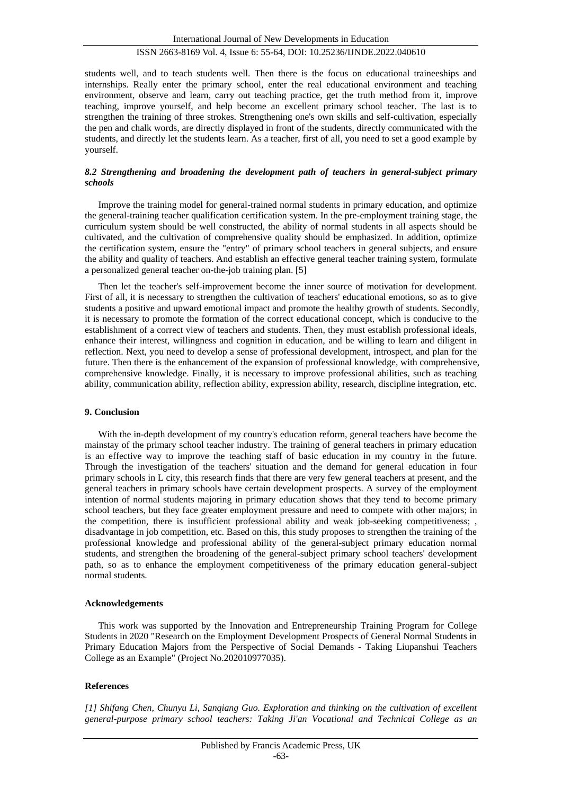students well, and to teach students well. Then there is the focus on educational traineeships and internships. Really enter the primary school, enter the real educational environment and teaching environment, observe and learn, carry out teaching practice, get the truth method from it, improve teaching, improve yourself, and help become an excellent primary school teacher. The last is to strengthen the training of three strokes. Strengthening one's own skills and self-cultivation, especially the pen and chalk words, are directly displayed in front of the students, directly communicated with the students, and directly let the students learn. As a teacher, first of all, you need to set a good example by yourself.

## *8.2 Strengthening and broadening the development path of teachers in general-subject primary schools*

Improve the training model for general-trained normal students in primary education, and optimize the general-training teacher qualification certification system. In the pre-employment training stage, the curriculum system should be well constructed, the ability of normal students in all aspects should be cultivated, and the cultivation of comprehensive quality should be emphasized. In addition, optimize the certification system, ensure the "entry" of primary school teachers in general subjects, and ensure the ability and quality of teachers. And establish an effective general teacher training system, formulate a personalized general teacher on-the-job training plan. [5]

Then let the teacher's self-improvement become the inner source of motivation for development. First of all, it is necessary to strengthen the cultivation of teachers' educational emotions, so as to give students a positive and upward emotional impact and promote the healthy growth of students. Secondly, it is necessary to promote the formation of the correct educational concept, which is conducive to the establishment of a correct view of teachers and students. Then, they must establish professional ideals, enhance their interest, willingness and cognition in education, and be willing to learn and diligent in reflection. Next, you need to develop a sense of professional development, introspect, and plan for the future. Then there is the enhancement of the expansion of professional knowledge, with comprehensive, comprehensive knowledge. Finally, it is necessary to improve professional abilities, such as teaching ability, communication ability, reflection ability, expression ability, research, discipline integration, etc.

#### **9. Conclusion**

With the in-depth development of my country's education reform, general teachers have become the mainstay of the primary school teacher industry. The training of general teachers in primary education is an effective way to improve the teaching staff of basic education in my country in the future. Through the investigation of the teachers' situation and the demand for general education in four primary schools in L city, this research finds that there are very few general teachers at present, and the general teachers in primary schools have certain development prospects. A survey of the employment intention of normal students majoring in primary education shows that they tend to become primary school teachers, but they face greater employment pressure and need to compete with other majors; in the competition, there is insufficient professional ability and weak job-seeking competitiveness; , disadvantage in job competition, etc. Based on this, this study proposes to strengthen the training of the professional knowledge and professional ability of the general-subject primary education normal students, and strengthen the broadening of the general-subject primary school teachers' development path, so as to enhance the employment competitiveness of the primary education general-subject normal students.

#### **Acknowledgements**

This work was supported by the Innovation and Entrepreneurship Training Program for College Students in 2020 "Research on the Employment Development Prospects of General Normal Students in Primary Education Majors from the Perspective of Social Demands - Taking Liupanshui Teachers College as an Example" (Project No.202010977035).

## **References**

*[1] Shifang Chen, Chunyu Li, Sanqiang Guo. Exploration and thinking on the cultivation of excellent general-purpose primary school teachers: Taking Ji'an Vocational and Technical College as an*